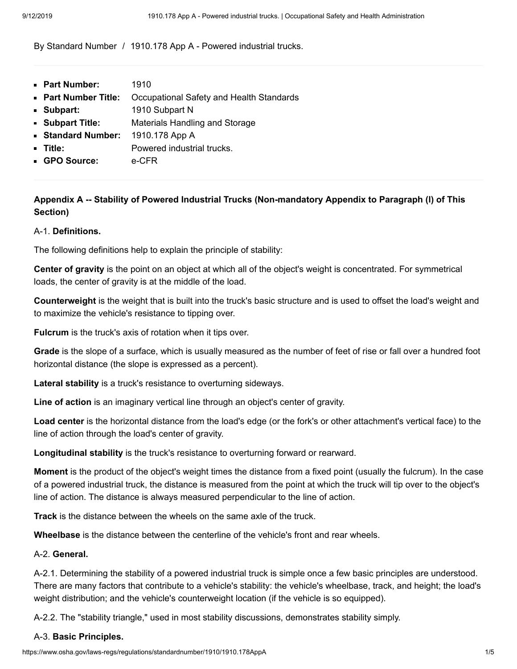[By Standard Number](https://www.osha.gov/laws-regs/regulations/standardnumber) / 1910.178 App A - Powered industrial trucks.

| • Part Number:                    | 1910                                     |
|-----------------------------------|------------------------------------------|
| • Part Number Title:              | Occupational Safety and Health Standards |
| • Subpart:                        | 1910 Subpart N                           |
| Subpart Title:                    | Materials Handling and Storage           |
| • Standard Number: 1910.178 App A |                                          |
| - Title:                          | Powered industrial trucks.               |
| GPO Source:                       | e-CFR                                    |

# **Appendix A -- Stability of Powered Industrial Trucks (Non-mandatory Appendix to Paragraph (l) of This Section)**

#### A-1. **Definitions.**

The following definitions help to explain the principle of stability:

**Center of gravity** is the point on an object at which all of the object's weight is concentrated. For symmetrical loads, the center of gravity is at the middle of the load.

**Counterweight** is the weight that is built into the truck's basic structure and is used to offset the load's weight and to maximize the vehicle's resistance to tipping over.

**Fulcrum** is the truck's axis of rotation when it tips over.

**Grade** is the slope of a surface, which is usually measured as the number of feet of rise or fall over a hundred foot horizontal distance (the slope is expressed as a percent).

**Lateral stability** is a truck's resistance to overturning sideways.

**Line of action** is an imaginary vertical line through an object's center of gravity.

**Load center** is the horizontal distance from the load's edge (or the fork's or other attachment's vertical face) to the line of action through the load's center of gravity.

**Longitudinal stability** is the truck's resistance to overturning forward or rearward.

**Moment** is the product of the object's weight times the distance from a fixed point (usually the fulcrum). In the case of a powered industrial truck, the distance is measured from the point at which the truck will tip over to the object's line of action. The distance is always measured perpendicular to the line of action.

**Track** is the distance between the wheels on the same axle of the truck.

**Wheelbase** is the distance between the centerline of the vehicle's front and rear wheels.

#### A-2. **General.**

A-2.1. Determining the stability of a powered industrial truck is simple once a few basic principles are understood. There are many factors that contribute to a vehicle's stability: the vehicle's wheelbase, track, and height; the load's weight distribution; and the vehicle's counterweight location (if the vehicle is so equipped).

A-2.2. The "stability triangle," used in most stability discussions, demonstrates stability simply.

#### A-3. **Basic Principles.**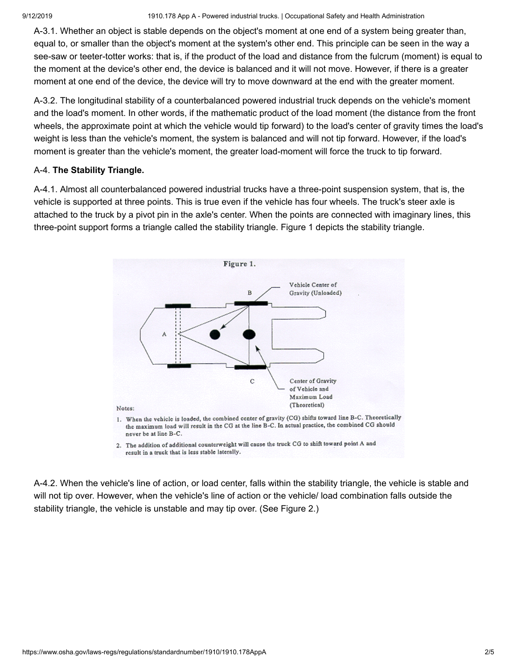A-3.1. Whether an object is stable depends on the object's moment at one end of a system being greater than, equal to, or smaller than the object's moment at the system's other end. This principle can be seen in the way a see-saw or teeter-totter works: that is, if the product of the load and distance from the fulcrum (moment) is equal to the moment at the device's other end, the device is balanced and it will not move. However, if there is a greater moment at one end of the device, the device will try to move downward at the end with the greater moment.

A-3.2. The longitudinal stability of a counterbalanced powered industrial truck depends on the vehicle's moment and the load's moment. In other words, if the mathematic product of the load moment (the distance from the front wheels, the approximate point at which the vehicle would tip forward) to the load's center of gravity times the load's weight is less than the vehicle's moment, the system is balanced and will not tip forward. However, if the load's moment is greater than the vehicle's moment, the greater load-moment will force the truck to tip forward.

#### A-4. **The Stability Triangle.**

A-4.1. Almost all counterbalanced powered industrial trucks have a three-point suspension system, that is, the vehicle is supported at three points. This is true even if the vehicle has four wheels. The truck's steer axle is attached to the truck by a pivot pin in the axle's center. When the points are connected with imaginary lines, this three-point support forms a triangle called the stability triangle. Figure 1 depicts the stability triangle.



A-4.2. When the vehicle's line of action, or load center, falls within the stability triangle, the vehicle is stable and will not tip over. However, when the vehicle's line of action or the vehicle/ load combination falls outside the stability triangle, the vehicle is unstable and may tip over. (See Figure 2.)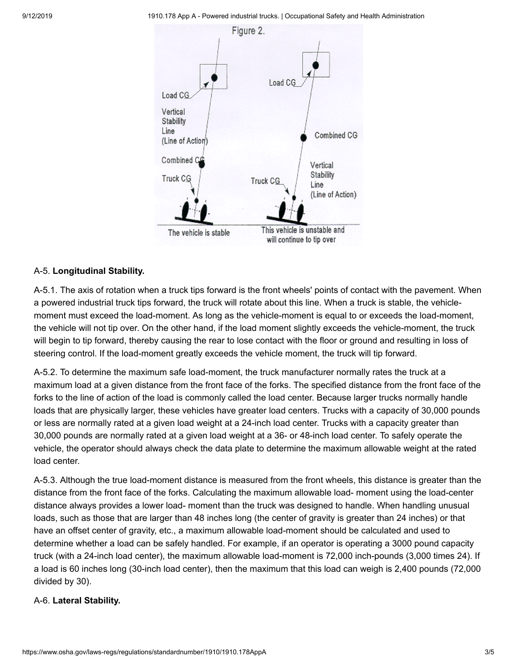9/12/2019 1910.178 App A - Powered industrial trucks. | Occupational Safety and Health Administration



#### A-5. **Longitudinal Stability.**

A-5.1. The axis of rotation when a truck tips forward is the front wheels' points of contact with the pavement. When a powered industrial truck tips forward, the truck will rotate about this line. When a truck is stable, the vehiclemoment must exceed the load-moment. As long as the vehicle-moment is equal to or exceeds the load-moment, the vehicle will not tip over. On the other hand, if the load moment slightly exceeds the vehicle-moment, the truck will begin to tip forward, thereby causing the rear to lose contact with the floor or ground and resulting in loss of steering control. If the load-moment greatly exceeds the vehicle moment, the truck will tip forward.

A-5.2. To determine the maximum safe load-moment, the truck manufacturer normally rates the truck at a maximum load at a given distance from the front face of the forks. The specified distance from the front face of the forks to the line of action of the load is commonly called the load center. Because larger trucks normally handle loads that are physically larger, these vehicles have greater load centers. Trucks with a capacity of 30,000 pounds or less are normally rated at a given load weight at a 24-inch load center. Trucks with a capacity greater than 30,000 pounds are normally rated at a given load weight at a 36- or 48-inch load center. To safely operate the vehicle, the operator should always check the data plate to determine the maximum allowable weight at the rated load center.

A-5.3. Although the true load-moment distance is measured from the front wheels, this distance is greater than the distance from the front face of the forks. Calculating the maximum allowable load- moment using the load-center distance always provides a lower load- moment than the truck was designed to handle. When handling unusual loads, such as those that are larger than 48 inches long (the center of gravity is greater than 24 inches) or that have an offset center of gravity, etc., a maximum allowable load-moment should be calculated and used to determine whether a load can be safely handled. For example, if an operator is operating a 3000 pound capacity truck (with a 24-inch load center), the maximum allowable load-moment is 72,000 inch-pounds (3,000 times 24). If a load is 60 inches long (30-inch load center), then the maximum that this load can weigh is 2,400 pounds (72,000 divided by 30).

#### A-6. **Lateral Stability.**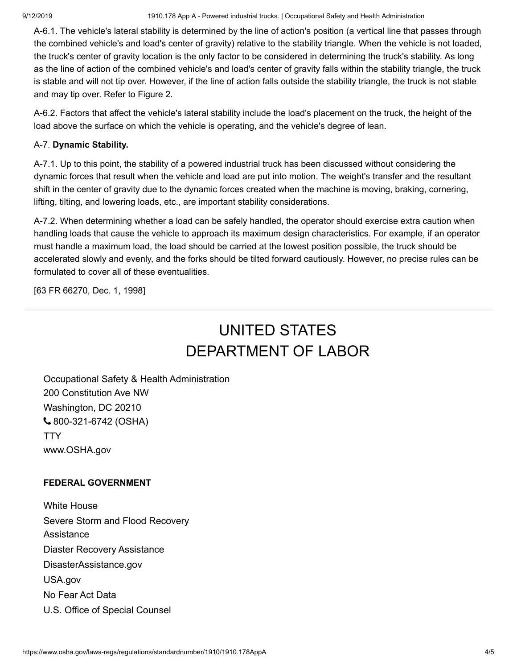A-6.1. The vehicle's lateral stability is determined by the line of action's position (a vertical line that passes through the combined vehicle's and load's center of gravity) relative to the stability triangle. When the vehicle is not loaded, the truck's center of gravity location is the only factor to be considered in determining the truck's stability. As long as the line of action of the combined vehicle's and load's center of gravity falls within the stability triangle, the truck is stable and will not tip over. However, if the line of action falls outside the stability triangle, the truck is not stable and may tip over. Refer to Figure 2.

A-6.2. Factors that affect the vehicle's lateral stability include the load's placement on the truck, the height of the load above the surface on which the vehicle is operating, and the vehicle's degree of lean.

## A-7. **Dynamic Stability.**

A-7.1. Up to this point, the stability of a powered industrial truck has been discussed without considering the dynamic forces that result when the vehicle and load are put into motion. The weight's transfer and the resultant shift in the center of gravity due to the dynamic forces created when the machine is moving, braking, cornering, lifting, tilting, and lowering loads, etc., are important stability considerations.

A-7.2. When determining whether a load can be safely handled, the operator should exercise extra caution when handling loads that cause the vehicle to approach its maximum design characteristics. For example, if an operator must handle a maximum load, the load should be carried at the lowest position possible, the truck should be accelerated slowly and evenly, and the forks should be tilted forward cautiously. However, no precise rules can be formulated to cover all of these eventualities.

[63 FR 66270, Dec. 1, 1998]

# UNITED STATES [DEPARTMENT OF LABOR](https://www.dol.gov/)

Occupational Safety & Health Administration 200 Constitution Ave NW Washington, DC 20210 [800-321-6742](tel:+18003216742) (OSHA) **[TTY](https://www.dol.gov/general/contact-phone-call-center#tty)** [www.OSHA.gov](https://www.osha.gov/)

## **FEDERAL GOVERNMENT**

[White House](https://www.whitehouse.gov/) [Severe Storm and Flood Recovery](https://www.dol.gov/general/stormrecovery) **Assistance** [Diaster Recovery Assistance](https://www.dol.gov/general/disasterrecovery) [DisasterAssistance.gov](https://www.disasterassistance.gov/) [USA.gov](https://usa.gov/) [No Fear Act Data](https://www.dol.gov/oasam/programs/crc/NoFearResult.htm) [U.S. Office of Special Counsel](https://osc.gov/)